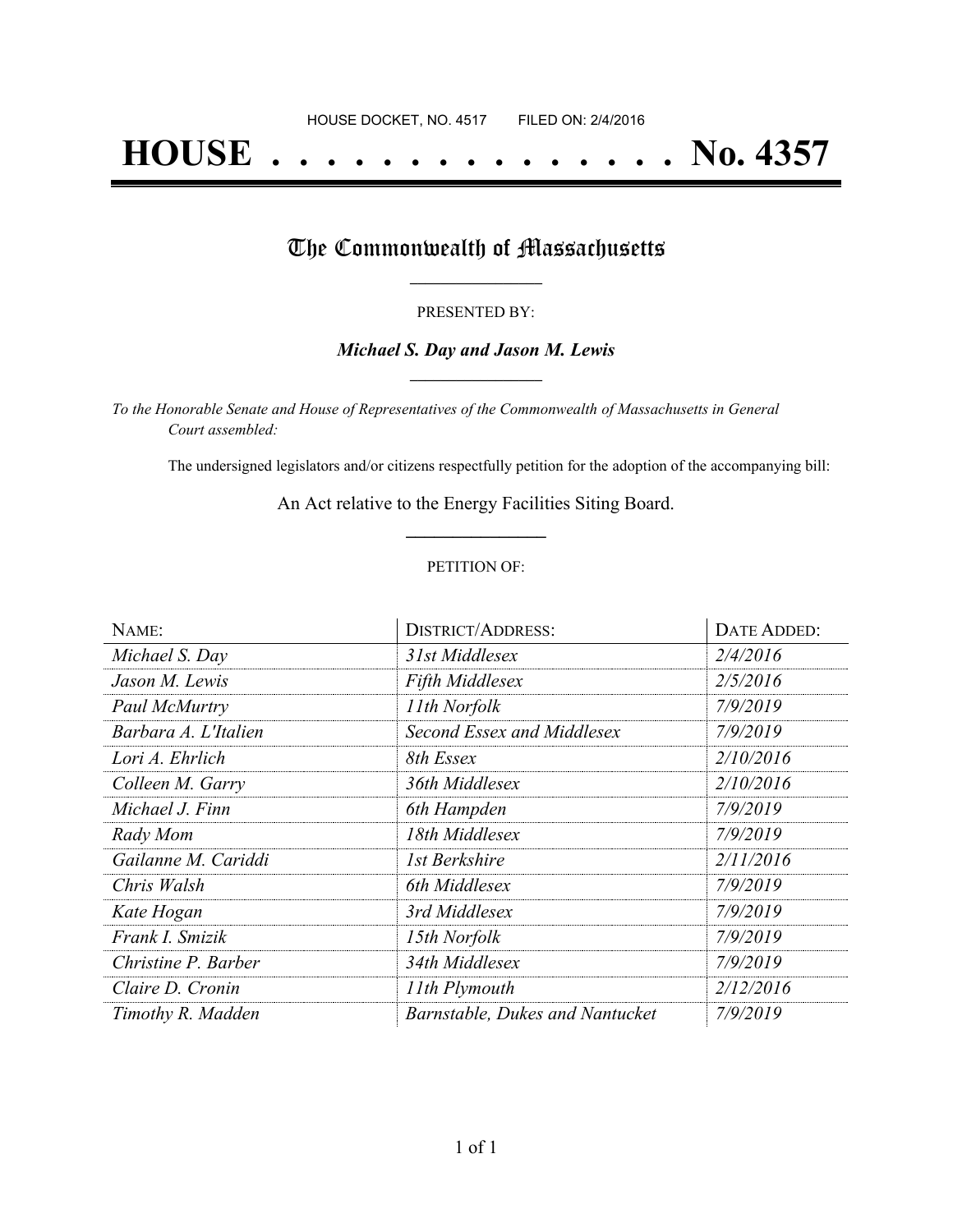# **HOUSE . . . . . . . . . . . . . . . No. 4357**

### The Commonwealth of Massachusetts

#### PRESENTED BY:

#### *Michael S. Day and Jason M. Lewis* **\_\_\_\_\_\_\_\_\_\_\_\_\_\_\_\_\_**

*To the Honorable Senate and House of Representatives of the Commonwealth of Massachusetts in General Court assembled:*

The undersigned legislators and/or citizens respectfully petition for the adoption of the accompanying bill:

An Act relative to the Energy Facilities Siting Board. **\_\_\_\_\_\_\_\_\_\_\_\_\_\_\_**

#### PETITION OF:

| NAME:                | <b>DISTRICT/ADDRESS:</b>        | DATE ADDED: |
|----------------------|---------------------------------|-------------|
| Michael S. Day       | 31st Middlesex                  | 2/4/2016    |
| Jason M. Lewis       | <b>Fifth Middlesex</b>          | 2/5/2016    |
| Paul McMurtry        | 11th Norfolk                    | 7/9/2019    |
| Barbara A. L'Italien | Second Essex and Middlesex      | 7/9/2019    |
| Lori A. Ehrlich      | 8th Essex                       | 2/10/2016   |
| Colleen M. Garry     | 36th Middlesex                  | 2/10/2016   |
| Michael J. Finn      | 6th Hampden                     | 7/9/2019    |
| Rady Mom             | 18th Middlesex                  | 7/9/2019    |
| Gailanne M. Cariddi  | 1st Berkshire                   | 2/11/2016   |
| Chris Walsh          | 6th Middlesex                   | 7/9/2019    |
| Kate Hogan           | 3rd Middlesex                   | 7/9/2019    |
| Frank I. Smizik      | 15th Norfolk                    | 7/9/2019    |
| Christine P. Barber  | 34th Middlesex                  | 7/9/2019    |
| Claire D. Cronin     | 11th Plymouth                   | 2/12/2016   |
| Timothy R. Madden    | Barnstable, Dukes and Nantucket | 7/9/2019    |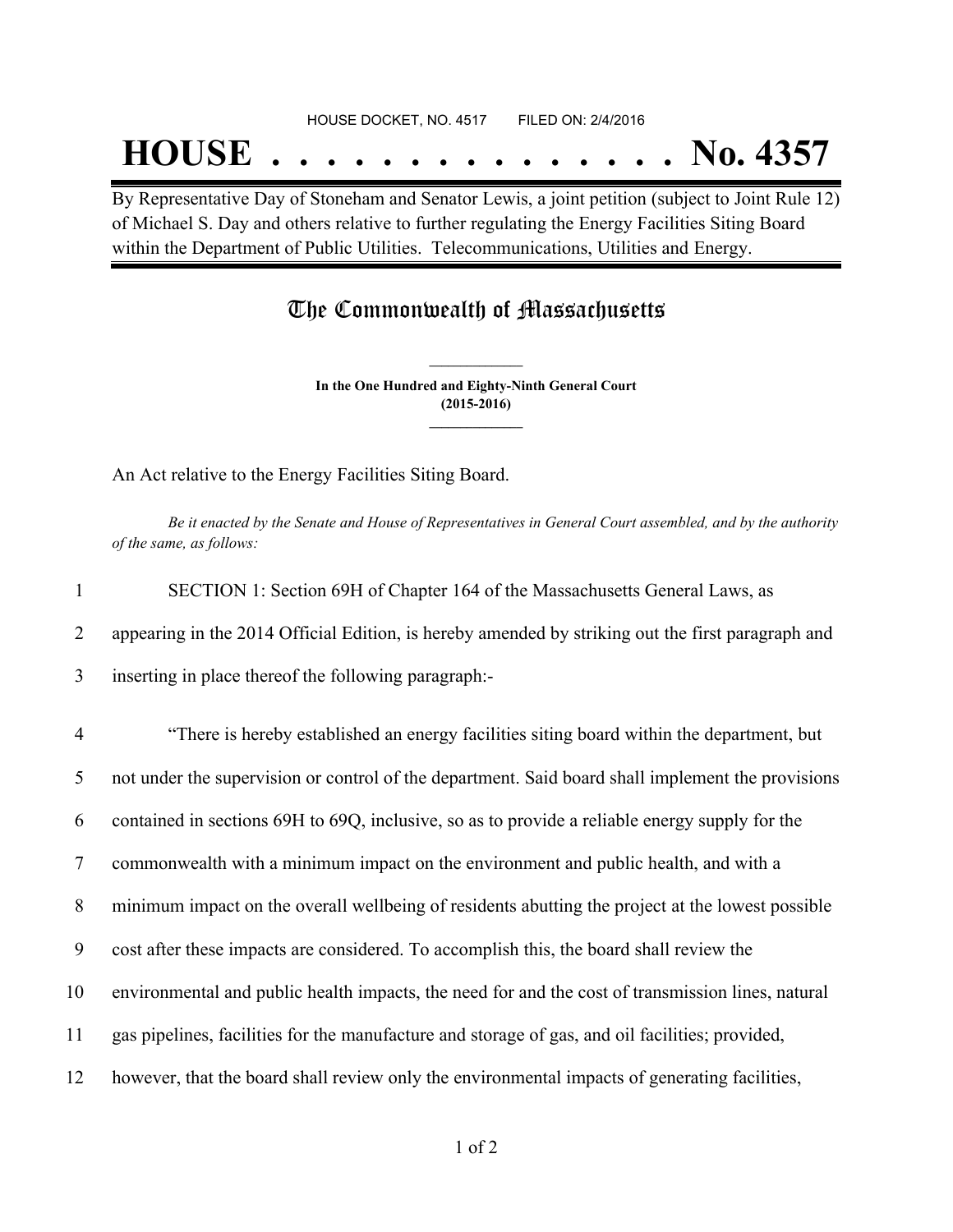#### HOUSE DOCKET, NO. 4517 FILED ON: 2/4/2016

## **HOUSE . . . . . . . . . . . . . . . No. 4357**

By Representative Day of Stoneham and Senator Lewis, a joint petition (subject to Joint Rule 12) of Michael S. Day and others relative to further regulating the Energy Facilities Siting Board within the Department of Public Utilities. Telecommunications, Utilities and Energy.

### The Commonwealth of Massachusetts

**In the One Hundred and Eighty-Ninth General Court (2015-2016) \_\_\_\_\_\_\_\_\_\_\_\_\_\_\_**

**\_\_\_\_\_\_\_\_\_\_\_\_\_\_\_**

An Act relative to the Energy Facilities Siting Board.

Be it enacted by the Senate and House of Representatives in General Court assembled, and by the authority *of the same, as follows:*

| $\mathbf{1}$   | SECTION 1: Section 69H of Chapter 164 of the Massachusetts General Laws, as                       |
|----------------|---------------------------------------------------------------------------------------------------|
| 2              | appearing in the 2014 Official Edition, is hereby amended by striking out the first paragraph and |
| 3              | inserting in place thereof the following paragraph:-                                              |
| $\overline{4}$ | "There is hereby established an energy facilities siting board within the department, but         |
| 5              | not under the supervision or control of the department. Said board shall implement the provisions |
| 6              | contained in sections 69H to 69Q, inclusive, so as to provide a reliable energy supply for the    |
| $\tau$         | commonwealth with a minimum impact on the environment and public health, and with a               |
| 8              | minimum impact on the overall wellbeing of residents abutting the project at the lowest possible  |
| 9              | cost after these impacts are considered. To accomplish this, the board shall review the           |
| 10             | environmental and public health impacts, the need for and the cost of transmission lines, natural |
| 11             | gas pipelines, facilities for the manufacture and storage of gas, and oil facilities; provided,   |
| 12             | however, that the board shall review only the environmental impacts of generating facilities,     |